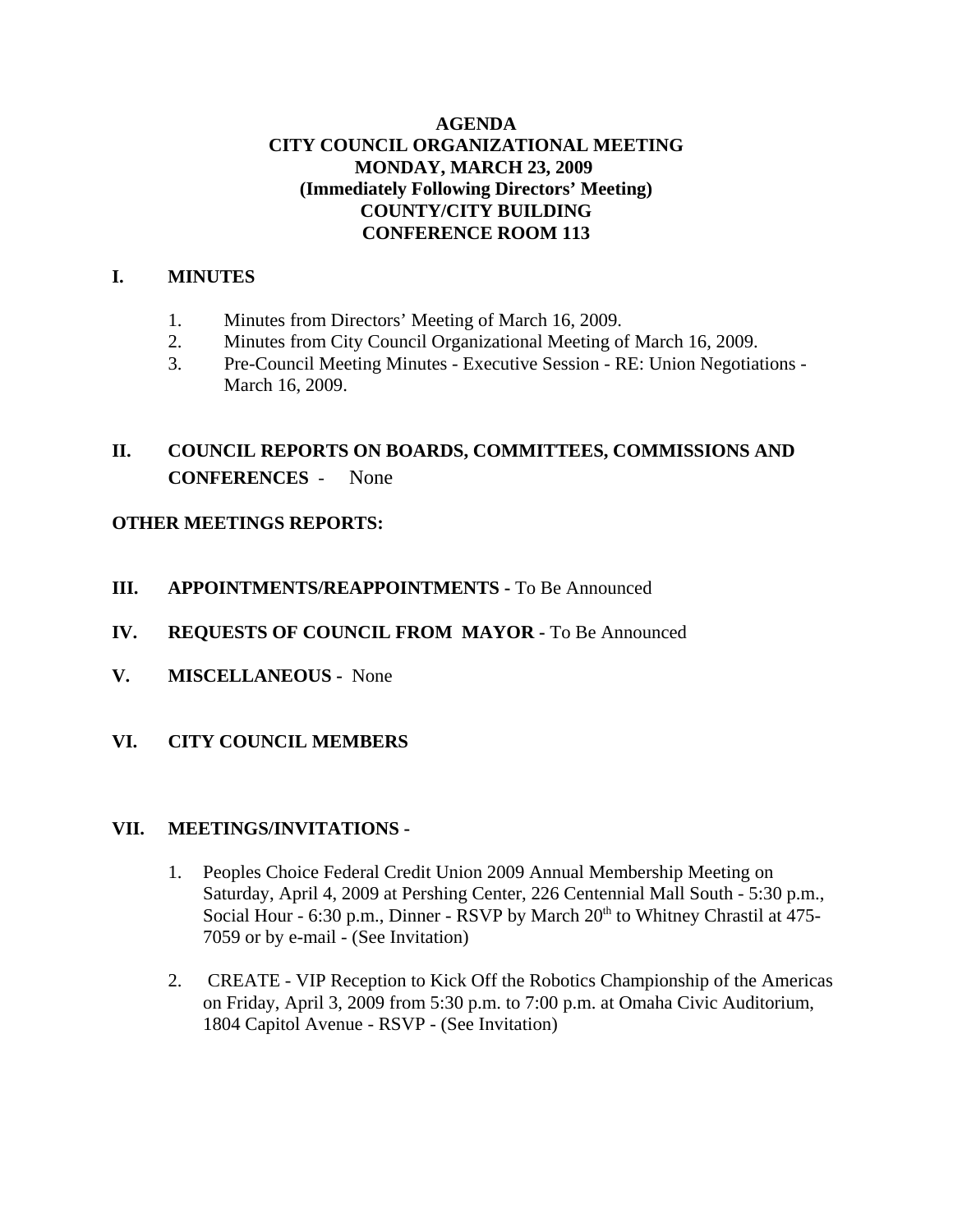# **AGENDA CITY COUNCIL ORGANIZATIONAL MEETING MONDAY, MARCH 23, 2009 (Immediately Following Directors' Meeting) COUNTY/CITY BUILDING CONFERENCE ROOM 113**

# **I. MINUTES**

- 1. Minutes from Directors' Meeting of March 16, 2009.
- 2. Minutes from City Council Organizational Meeting of March 16, 2009.
- 3. Pre-Council Meeting Minutes Executive Session RE: Union Negotiations March 16, 2009.

# **II. COUNCIL REPORTS ON BOARDS, COMMITTEES, COMMISSIONS AND CONFERENCES** - None

# **OTHER MEETINGS REPORTS:**

- **III. APPOINTMENTS/REAPPOINTMENTS -** To Be Announced
- **IV. REQUESTS OF COUNCIL FROM MAYOR -** To Be Announced
- **V. MISCELLANEOUS -** None
- **VI. CITY COUNCIL MEMBERS**

#### **VII. MEETINGS/INVITATIONS -**

- 1. Peoples Choice Federal Credit Union 2009 Annual Membership Meeting on Saturday, April 4, 2009 at Pershing Center, 226 Centennial Mall South - 5:30 p.m., Social Hour - 6:30 p.m., Dinner - RSVP by March  $20<sup>th</sup>$  to Whitney Chrastil at 475-7059 or by e-mail - (See Invitation)
- 2. CREATE VIP Reception to Kick Off the Robotics Championship of the Americas on Friday, April 3, 2009 from 5:30 p.m. to 7:00 p.m. at Omaha Civic Auditorium, 1804 Capitol Avenue - RSVP - (See Invitation)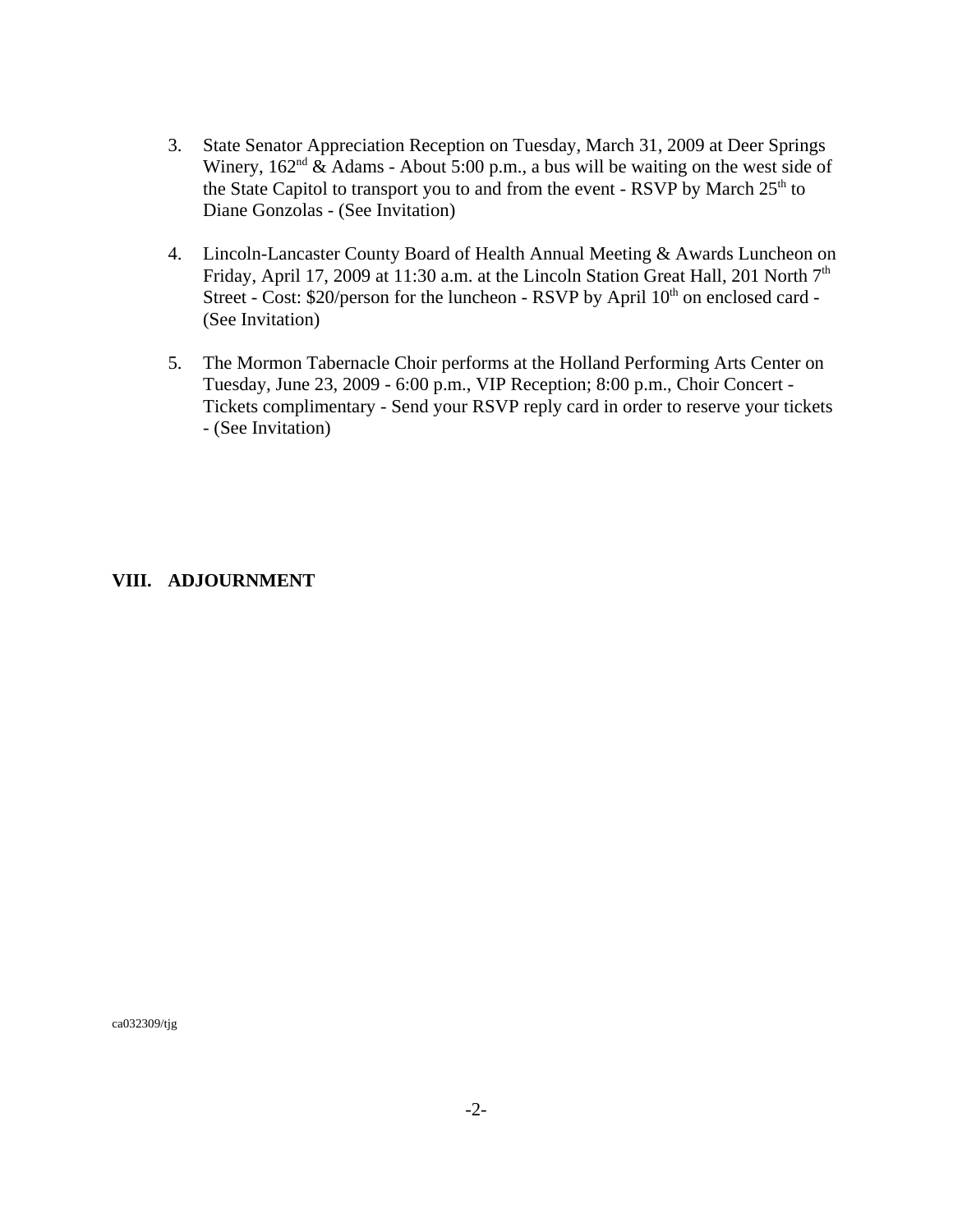- 3. State Senator Appreciation Reception on Tuesday, March 31, 2009 at Deer Springs Winery,  $162<sup>nd</sup>$  & Adams - About 5:00 p.m., a bus will be waiting on the west side of the State Capitol to transport you to and from the event - RSVP by March 25<sup>th</sup> to Diane Gonzolas - (See Invitation)
- 4. Lincoln-Lancaster County Board of Health Annual Meeting & Awards Luncheon on Friday, April 17, 2009 at 11:30 a.m. at the Lincoln Station Great Hall, 201 North  $7<sup>th</sup>$ Street - Cost:  $$20/person$  for the luncheon - RSVP by April  $10<sup>th</sup>$  on enclosed card -(See Invitation)
- 5. The Mormon Tabernacle Choir performs at the Holland Performing Arts Center on Tuesday, June 23, 2009 - 6:00 p.m., VIP Reception; 8:00 p.m., Choir Concert - Tickets complimentary - Send your RSVP reply card in order to reserve your tickets - (See Invitation)

#### **VIII. ADJOURNMENT**

ca032309/tjg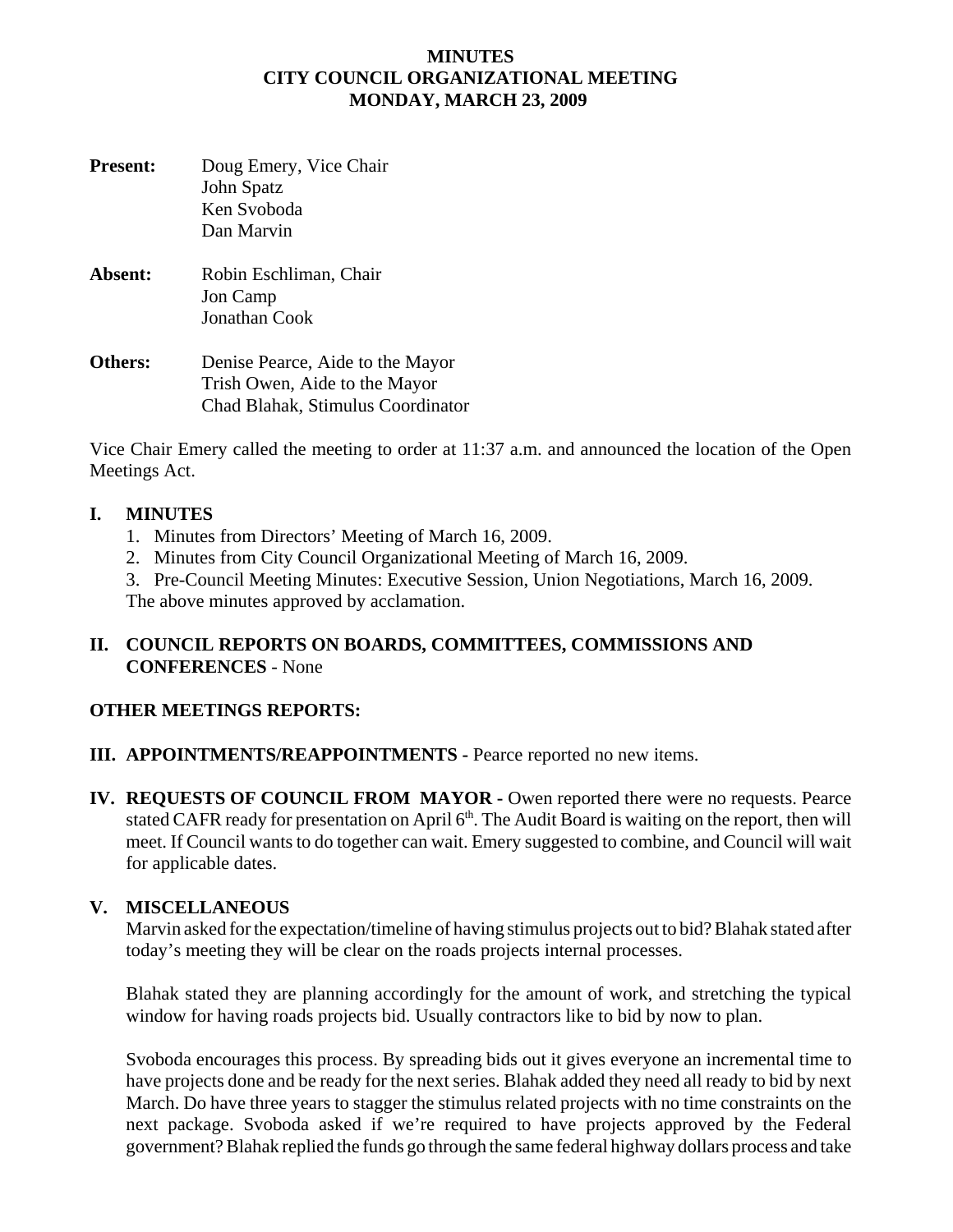#### **MINUTES CITY COUNCIL ORGANIZATIONAL MEETING MONDAY, MARCH 23, 2009**

| <b>Present:</b> | Doug Emery, Vice Chair<br>John Spatz<br>Ken Svoboda<br>Dan Marvin                                      |
|-----------------|--------------------------------------------------------------------------------------------------------|
| Absent:         | Robin Eschliman, Chair<br>Jon Camp<br>Jonathan Cook                                                    |
| Others:         | Denise Pearce, Aide to the Mayor<br>Trish Owen, Aide to the Mayor<br>Chad Blahak, Stimulus Coordinator |

Vice Chair Emery called the meeting to order at 11:37 a.m. and announced the location of the Open Meetings Act.

# **I. MINUTES**

- 1. Minutes from Directors' Meeting of March 16, 2009.
- 2. Minutes from City Council Organizational Meeting of March 16, 2009.
- 3. Pre-Council Meeting Minutes: Executive Session, Union Negotiations, March 16, 2009. The above minutes approved by acclamation.

# **II. COUNCIL REPORTS ON BOARDS, COMMITTEES, COMMISSIONS AND CONFERENCES** - None

# **OTHER MEETINGS REPORTS:**

# **III. APPOINTMENTS/REAPPOINTMENTS -** Pearce reported no new items.

**IV. REQUESTS OF COUNCIL FROM MAYOR -** Owen reported there were no requests. Pearce stated CAFR ready for presentation on April 6<sup>th</sup>. The Audit Board is waiting on the report, then will meet. If Council wants to do together can wait. Emery suggested to combine, and Council will wait for applicable dates.

# **V. MISCELLANEOUS**

Marvin asked for the expectation/timeline of having stimulus projects out to bid? Blahak stated after today's meeting they will be clear on the roads projects internal processes.

Blahak stated they are planning accordingly for the amount of work, and stretching the typical window for having roads projects bid. Usually contractors like to bid by now to plan.

Svoboda encourages this process. By spreading bids out it gives everyone an incremental time to have projects done and be ready for the next series. Blahak added they need all ready to bid by next March. Do have three years to stagger the stimulus related projects with no time constraints on the next package. Svoboda asked if we're required to have projects approved by the Federal government? Blahak replied the funds go through the same federal highway dollars process and take